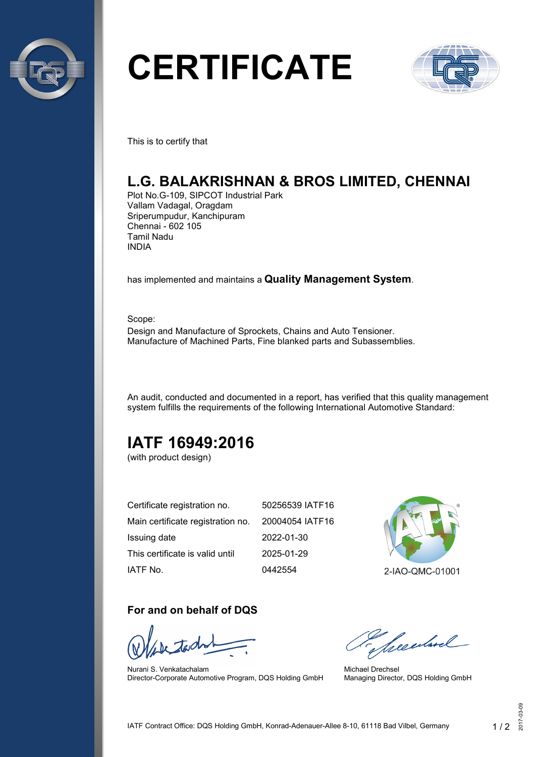

# **CERTIFICATE**



This is to certify that

# **L.G. BALAKRISHNAN & BROS LIMITED, CHENNAI**

Plot No.G-109, SIPCOT Industrial Park Vallam Vadagal, Oragdam Sriperumpudur, Kanchipuram Chennai - 602 105 Tamil Nadu INDIA

has implemented and maintains a **Quality Management System**.

Scope: Design and Manufacture of Sprockets, Chains and Auto Tensioner. Manufacture of Machined Parts, Fine blanked parts and Subassemblies.

An audit, conducted and documented in a report, has verified that this quality management system fulfills the requirements of the following International Automotive Standard:

# **IATF 16949:2016**

(with product design)

| Certificate registration no.      | 50256539 IATF16 |
|-----------------------------------|-----------------|
| Main certificate registration no. | 20004054 IATF16 |
| Issuing date                      | 2022-01-30      |
| This certificate is valid until   | 2025-01-29      |
| IATF No.                          | 0442554         |



#### **For and on behalf of DQS**

Nurani S. Venkatachalam Director-Corporate Automotive Program, DQS Holding GmbH

Seculard

Michael Drechsel Managing Director, DQS Holding GmbH